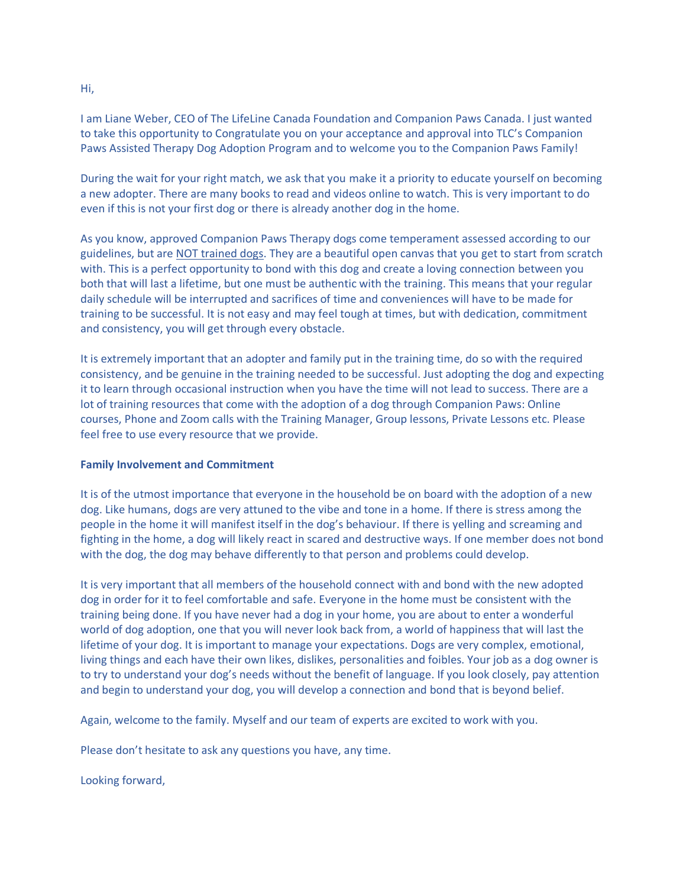I am Liane Weber, CEO of The LifeLine Canada Foundation and Companion Paws Canada. I just wanted to take this opportunity to Congratulate you on your acceptance and approval into TLC's Companion Paws Assisted Therapy Dog Adoption Program and to welcome you to the Companion Paws Family!

During the wait for your right match, we ask that you make it a priority to educate yourself on becoming a new adopter. There are many books to read and videos online to watch. This is very important to do even if this is not your first dog or there is already another dog in the home.

As you know, approved Companion Paws Therapy dogs come temperament assessed according to our guidelines, but are NOT trained dogs. They are a beautiful open canvas that you get to start from scratch with. This is a perfect opportunity to bond with this dog and create a loving connection between you both that will last a lifetime, but one must be authentic with the training. This means that your regular daily schedule will be interrupted and sacrifices of time and conveniences will have to be made for training to be successful. It is not easy and may feel tough at times, but with dedication, commitment and consistency, you will get through every obstacle.

It is extremely important that an adopter and family put in the training time, do so with the required consistency, and be genuine in the training needed to be successful. Just adopting the dog and expecting it to learn through occasional instruction when you have the time will not lead to success. There are a lot of training resources that come with the adoption of a dog through Companion Paws: Online courses, Phone and Zoom calls with the Training Manager, Group lessons, Private Lessons etc. Please feel free to use every resource that we provide.

## **Family Involvement and Commitment**

It is of the utmost importance that everyone in the household be on board with the adoption of a new dog. Like humans, dogs are very attuned to the vibe and tone in a home. If there is stress among the people in the home it will manifest itself in the dog's behaviour. If there is yelling and screaming and fighting in the home, a dog will likely react in scared and destructive ways. If one member does not bond with the dog, the dog may behave differently to that person and problems could develop.

It is very important that all members of the household connect with and bond with the new adopted dog in order for it to feel comfortable and safe. Everyone in the home must be consistent with the training being done. If you have never had a dog in your home, you are about to enter a wonderful world of dog adoption, one that you will never look back from, a world of happiness that will last the lifetime of your dog. It is important to manage your expectations. Dogs are very complex, emotional, living things and each have their own likes, dislikes, personalities and foibles. Your job as a dog owner is to try to understand your dog's needs without the benefit of language. If you look closely, pay attention and begin to understand your dog, you will develop a connection and bond that is beyond belief.

Again, welcome to the family. Myself and our team of experts are excited to work with you.

Please don't hesitate to ask any questions you have, any time.

Looking forward,

Hi,